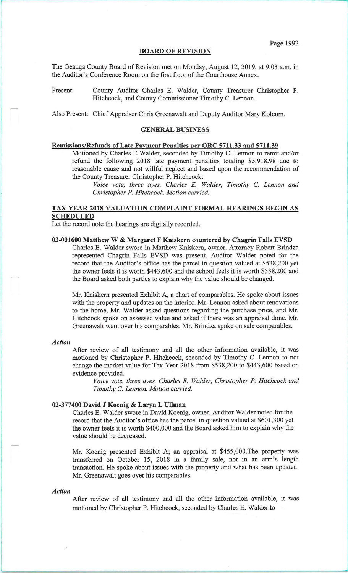#### BOARD OF REVISION

The Geauga County Board of Revision met on Monday, August 12, 2019, at 9:03 a.m. in the Auditor's Conference Room on the first floor of the Courthouse Annex.

Present: County Auditor Charles E. Walder, County Treasurer Christopher P. Hitchcock, and County Commissioner Timothy C. Lennon.

Also Present: Chief Appraiser Chris Greenawalt and Deputy Auditor Mary Kolcum.

#### GENERAL BUSINESS

# Remissions/Refunds of Late Payment Penalties per ORC 5711.33 and 5711.39

Motioned by Charles E Walder, seconded by Timothy C. Lennon to remit and/or refund the following 2018 late payment penalties totaling \$5,918.98 due to reasonable cause and not willful neglect and based upon the recommendation of the County Treasurer Christopher P. Hitchcock:

*Voice vote, three ayes. Charles E. Walder, Timothy* C. *Lennon and Christopher P. Hitchcock. Motion carried.* 

# TAX YEAR 2018 VALUATION COMPLAINT FORMAL HEARINGS BEGIN AS SCHEDULED

Let the record note the hearings are digitally recorded.

### 03-001600 Matthew W & Margaret F Kniskern countered by Chagrin Falls EVSD

Charles E. Walder swore in Matthew Kniskern, owner. Attorney Robert Brindza represented Chagrin Falls EVSD was present. Auditor Walder noted for the record that the Auditor's office has the parcel in question valued at \$538,200 yet the owner feels it is worth \$443,600 and the school feels it is worth \$538,200 and the Board asked both parties to explain why the value should be changed.

Mr. Kniskern presented Exhibit A, a chart of comparables. He spoke about issues with the property and updates on the interior. Mr. Lennon asked about renovations to the home, Mr. Walder asked questions regarding the purchase price, and Mr. Hitchcock spoke on assessed value and asked if there was an appraisal done. Mr. Greenawalt went over his comparables. Mr. Brindza spoke on sale comparables.

#### *Action*

After review of all testimony and all the other information available, it was motioned by Christopher P. Hitchcock, seconded by Timothy C. Lennon to not change the market value for Tax Year 2018 from \$538,200 to \$443,600 based on evidence provided.

*Voice vote, three ayes. Charles E. Walder, Christopher P. Hitchcock and Timothy* C. *Lennon. Motion carried.* 

### 02-377400 David J Koenig & Laryn L Ullman

Charles E. Walder swore in David Koenig, owner. Auditor Walder noted for the record that the Auditor's office has the parcel in question valued at \$601,300 yet the owner feels it is worth \$400,000 and the Board asked him to explain why the value should be decreased.

Mr. Koenig presented Exhibit A; an appraisal at \$455,000.The property was transferred on October 15, 2018 in a family sale, not in an arm's length transaction. He spoke about issues with the property and what has been updated. Mr. Greenawalt goes over his comparables.

### *Action*

After review of all testimony and all the other information available, it was motioned by Christopher P. Hitchcock, seconded by Charles E. Walder to